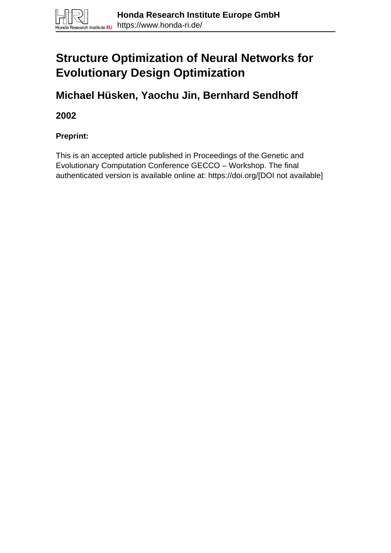# **Structure Optimization of Neural Networks for Evolutionary Design Optimization**

**Michael Hüsken, Yaochu Jin, Bernhard Sendhoff**

**2002**

**Preprint:**

This is an accepted article published in Proceedings of the Genetic and Evolutionary Computation Conference GECCO – Workshop. The final authenticated version is available online at: https://doi.org/[DOI not available]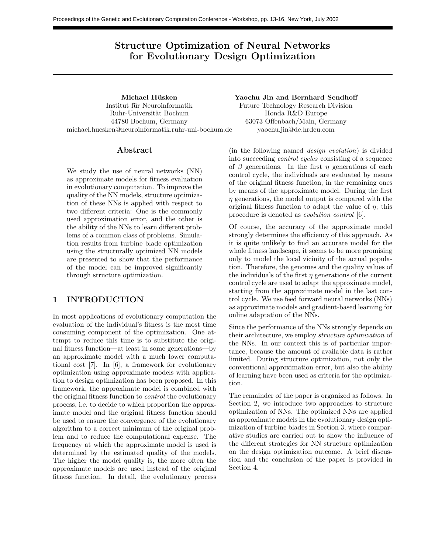## Structure Optimization of Neural Networks for Evolutionary Design Optimization

Michael Hüsken Institut für Neuroinformatik Ruhr-Universität Bochum 44780 Bochum, Germany michael.huesken@neuroinformatik.ruhr-uni-bochum.de

### Abstract

We study the use of neural networks (NN) as approximate models for fitness evaluation in evolutionary computation. To improve the quality of the NN models, structure optimization of these NNs is applied with respect to two different criteria: One is the commonly used approximation error, and the other is the ability of the NNs to learn different problems of a common class of problems. Simulation results from turbine blade optimization using the structurally optimized NN models are presented to show that the performance of the model can be improved significantly through structure optimization.

## 1 INTRODUCTION

In most applications of evolutionary computation the evaluation of the individual's fitness is the most time consuming component of the optimization. One attempt to reduce this time is to substitute the original fitness function—at least in some generations—by an approximate model with a much lower computational cost [7]. In [6], a framework for evolutionary optimization using approximate models with application to design optimization has been proposed. In this framework, the approximate model is combined with the original fitness function to control the evolutionary process, i.e. to decide to which proportion the approximate model and the original fitness function should be used to ensure the convergence of the evolutionary algorithm to a correct minimum of the original problem and to reduce the computational expense. The frequency at which the approximate model is used is determined by the estimated quality of the models. The higher the model quality is, the more often the approximate models are used instead of the original fitness function. In detail, the evolutionary process

Yaochu Jin and Bernhard Sendhoff Future Technology Research Division Honda R&D Europe 63073 Offenbach/Main, Germany yaochu.jin@de.hrdeu.com

(in the following named design evolution) is divided into succeeding control cycles consisting of a sequence of  $\beta$  generations. In the first  $\eta$  generations of each control cycle, the individuals are evaluated by means of the original fitness function, in the remaining ones by means of the approximate model. During the first  $\eta$  generations, the model output is compared with the original fitness function to adapt the value of  $\eta$ ; this procedure is denoted as evolution control [6].

Of course, the accuracy of the approximate model strongly determines the efficiency of this approach. As it is quite unlikely to find an accurate model for the whole fitness landscape, it seems to be more promising only to model the local vicinity of the actual population. Therefore, the genomes and the quality values of the individuals of the first  $\eta$  generations of the current control cycle are used to adapt the approximate model, starting from the approximate model in the last control cycle. We use feed forward neural networks (NNs) as approximate models and gradient-based learning for online adaptation of the NNs.

Since the performance of the NNs strongly depends on their architecture, we employ structure optimization of the NNs. In our context this is of particular importance, because the amount of available data is rather limited. During structure optimization, not only the conventional approximation error, but also the ability of learning have been used as criteria for the optimization.

The remainder of the paper is organized as follows. In Section 2, we introduce two approaches to structure optimization of NNs. The optimized NNs are applied as approximate models in the evolutionary design optimization of turbine blades in Section 3, where comparative studies are carried out to show the influence of the different strategies for NN structure optimization on the design optimization outcome. A brief discussion and the conclusion of the paper is provided in Section 4.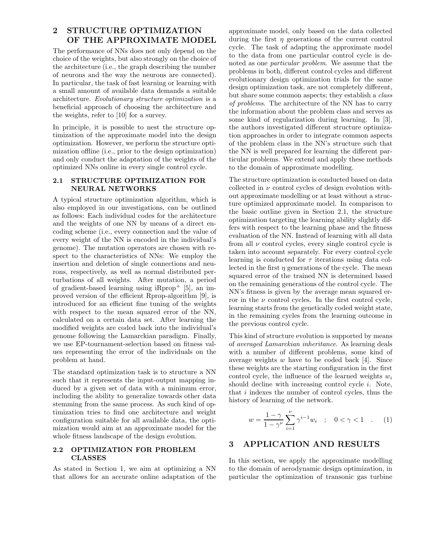## 2 STRUCTURE OPTIMIZATION OF THE APPROXIMATE MODEL

The performance of NNs does not only depend on the choice of the weights, but also strongly on the choice of the architecture (i.e., the graph describing the number of neurons and the way the neurons are connected). In particular, the task of fast learning or learning with a small amount of available data demands a suitable architecture. Evolutionary structure optimization is a beneficial approach of choosing the architecture and the weights, refer to [10] for a survey.

In principle, it is possible to nest the structure optimization of the approximate model into the design optimization. However, we perform the structure optimization offline (i.e., prior to the design optimization) and only conduct the adaptation of the weights of the optimized NNs online in every single control cycle.

#### 2.1 STRUCTURE OPTIMIZATION FOR NEURAL NETWORKS

A typical structure optimization algorithm, which is also employed in our investigations, can be outlined as follows: Each individual codes for the architecture and the weights of one NN by means of a direct encoding scheme (i.e., every connection and the value of every weight of the NN is encoded in the individual's genome). The mutation operators are chosen with respect to the characteristics of NNs: We employ the insertion and deletion of single connections and neurons, respectively, as well as normal distributed perturbations of all weights. After mutation, a period of gradient-based learning using  $iRprop<sup>+</sup>$  [5], an improved version of the efficient Rprop-algorithm [9], is introduced for an efficient fine tuning of the weights with respect to the mean squared error of the NN, calculated on a certain data set. After learning the modified weights are coded back into the individual's genome following the Lamarckian paradigm. Finally, we use EP-tournament-selection based on fitness values representing the error of the individuals on the problem at hand.

The standard optimization task is to structure a NN such that it represents the input-output mapping induced by a given set of data with a minimum error, including the ability to generalize towards other data stemming from the same process. As such kind of optimization tries to find one architecture and weight configuration suitable for all available data, the optimization would aim at an approximate model for the whole fitness landscape of the design evolution.

#### 2.2 OPTIMIZATION FOR PROBLEM CLASSES

As stated in Section 1, we aim at optimizing a NN that allows for an accurate online adaptation of the approximate model, only based on the data collected during the first  $\eta$  generations of the current control cycle. The task of adapting the approximate model to the data from one particular control cycle is denoted as one particular problem. We assume that the problems in both, different control cycles and different evolutionary design optimization trials for the same design optimization task, are not completely different, but share some common aspects; they establish a class of problems. The architecture of the NN has to carry the information about the problem class and serves as some kind of regularization during learning. In [3], the authors investigated different structure optimization approaches in order to integrate common aspects of the problem class in the NN's structure such that the NN is well prepared for learning the different particular problems. We extend and apply these methods to the domain of approximate modelling.

The structure optimization is conducted based on data collected in  $\nu$  control cycles of design evolution without approximate modelling or at least without a structure optimized approximate model. In comparison to the basic outline given in Section 2.1, the structure optimization targeting the learning ability slightly differs with respect to the learning phase and the fitness evaluation of the NN. Instead of learning with all data from all  $\nu$  control cycles, every single control cycle is taken into account separately. For every control cycle learning is conducted for  $\tau$  iterations using data collected in the first  $\eta$  generations of the cycle. The mean squared error of the trained NN is determined based on the remaining generations of the control cycle. The NN's fitness is given by the average mean squared error in the  $\nu$  control cycles. In the first control cycle, learning starts from the genetically coded weight state, in the remaining cycles from the learning outcome in the previous control cycle.

This kind of structure evolution is supported by means of averaged Lamarckian inheritance. As learning deals with a number of different problems, some kind of average weights  $w$  have to be coded back [4]. Since these weights are the starting configuration in the first control cycle, the influence of the learned weights  $w_i$ should decline with increasing control cycle i. Note, that i indexes the number of control cycles, thus the history of learning of the network.

$$
w = \frac{1 - \gamma}{1 - \gamma^{\nu}} \sum_{i=1}^{\nu} \gamma^{i-1} w_i \quad ; \quad 0 < \gamma < 1 \quad . \tag{1}
$$

## 3 APPLICATION AND RESULTS

In this section, we apply the approximate modelling to the domain of aerodynamic design optimization, in particular the optimization of transonic gas turbine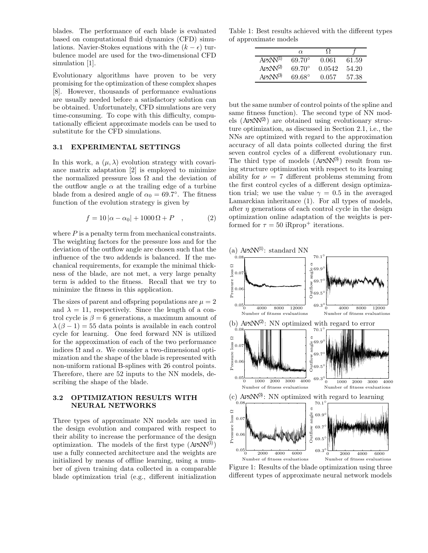blades. The performance of each blade is evaluated based on computational fluid dynamics (CFD) simulations. Navier-Stokes equations with the  $(k - \epsilon)$  turbulence model are used for the two-dimensional CFH adements simulation [1].

Evolutionary algorithms have proven *PSfrag replacements* promising for the optimization of these complex shapes [8]. However, thousands of performance evaluations are usually needed before a satisfactory solution can be obtained. Unfortunately, CFD simulations are placements the same more very selected points of the spline and time-consuming. To cope with this difficulty, computationally efficient approximate models can be used to substitute for the CFD simulations.

#### 3.1 EXPERIMENTAL SETTINGS

In this work, a  $(\mu, \lambda)$  evolution strategy with covariance matrix adaptation [2] is employed to minimize the normalized pressure loss  $\Omega$  and the deviation of the outflow angle  $\alpha$  at the trailing edge of a turbine blade from a desired angle of  $\alpha_0 = 69.7^{\circ}$ . The fitness function of the evolution strategy is given by

$$
f = 10 |\alpha - \alpha_0| + 1000 \Omega + P \quad , \tag{2}
$$

where  $P$  is a penalty term from mechanical constraints. The weighting factors for the pressure loss and for the deviation of the outflow angle are chosen such that the influence of the two addends is balanced. If the mechanical requirements, for example the minimal thickness of the blade, are not met, a very large penalty term is added to the fitness. Recall that we try to minimize the fitness in this application.

The sizes of parent and offspring populations are  $\mu_{\text{out}}^{-2}$   $_{\text{out}}^{70.1}$ <sup>o</sup> and  $\lambda = 11$ , respectively. Since the length of a control cycle is  $\beta = 6$  generations, a maximum amount of  $\lambda (\beta - 1) = 55$  data points is available in each control cycle for learning. One feed forward NN is utilized for the approximation of each of the two performance indices  $\Omega$  and  $\alpha$ . We consider a two-dimensional optimization and the shape of the blade is represented with non-uniform rational B-splines with 26 control points. Therefore, there are 52 inputs to the NN models, describing the shape of the blade.

#### 3.2 OPTIMIZATION RESULTS WITH NEURAL NETWORKS

Three types of approximate NN models are used in the design evolution and compared with respect to their ability to increase the performance of the design optimization. The models of the first type  $(A P x N^{(1)})$ use a fully connected architecture and the weights are initialized by means of offline learning, using a number of given training data collected in a comparable blade optimization trial (e.g., different initialization

Table 1: Best results achieved with the different types of approximate models

| $\alpha$            | omonto           |       |
|---------------------|------------------|-------|
| <b>TIOO</b><br>-19- | 100 <sub>0</sub> | 59    |
| $69.70^{\circ}$ 0.0 | 0.0542           | 54.20 |
|                     |                  | 57.38 |

same fitness function). The second type of NN mod $e$ ls  $($ APX $N^{(2)}$  $)$  are obtained using evolutionary structure optimization, as discussed in Section 2.1, i.e., the  $\frac{12600 \text{ e}}{12000}$  optimization, as discussed in section 2.1, i.e., the  $\frac{1}{8000}$  accuracy of all data points  $\frac{1}{8000}$  extends during the first seven control cycles of a different evolutionary run. The third type of models  $_{10}$   $_{00}$   $_{00}$ <sup>(3)</sup>) result from using structure optimization with respect to its learning ability for  $\nu = 7$  different problems stemming from  $_{6}$  $\frac{1}{2}$  first control cycles of a different design optimization trial; we use the value  $\omega_0 = 0.5$  in the averaged  $_{69.5}$ <sup>0</sup> marckian inheritance (1). For all types of models, after  $\eta$  generations of each control cycle in the design 69. applimization online adaptation of the weights is performed for  $\tau = 50$  iRprop<sup>+</sup><sub>0.08</sub> parations. 0.03<br>, di<br>6.06<br>0.03<br>0.03





Figure 1: Results of the blade optimization using three different types of approximate neural network models